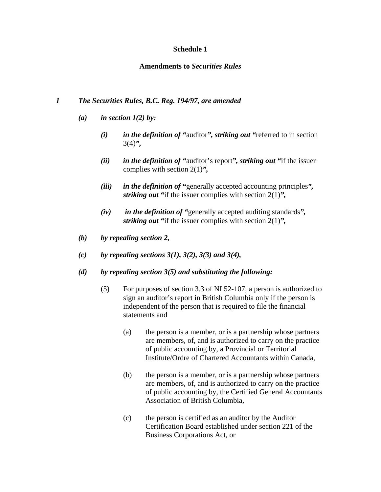## **Schedule 1**

## **Amendments to** *Securities Rules*

## *1 The Securities Rules, B.C. Reg. 194/97, are amended*

- *(a) in section 1(2) by:* 
	- *(i) in the definition of "*auditor*", striking out "*referred to in section 3(4)*",*
	- *(ii) in the definition of "*auditor's report*", striking out "*if the issuer complies with section 2(1)*",*
	- *(iii) in the definition of "*generally accepted accounting principles*", striking out "*if the issuer complies with section 2(1)*",*
	- *(iv) in the definition of "*generally accepted auditing standards*", striking out "*if the issuer complies with section 2(1)*",*
- *(b) by repealing section 2,*
- *(c) by repealing sections 3(1), 3(2), 3(3) and 3(4),*
- *(d) by repealing section 3(5) and substituting the following:* 
	- (5) For purposes of section 3.3 of NI 52-107, a person is authorized to sign an auditor's report in British Columbia only if the person is independent of the person that is required to file the financial statements and
		- (a) the person is a member, or is a partnership whose partners are members, of, and is authorized to carry on the practice of public accounting by, a Provincial or Territorial Institute/Ordre of Chartered Accountants within Canada,
		- (b) the person is a member, or is a partnership whose partners are members, of, and is authorized to carry on the practice of public accounting by, the Certified General Accountants Association of British Columbia,
		- (c) the person is certified as an auditor by the Auditor Certification Board established under section 221 of the Business Corporations Act, or